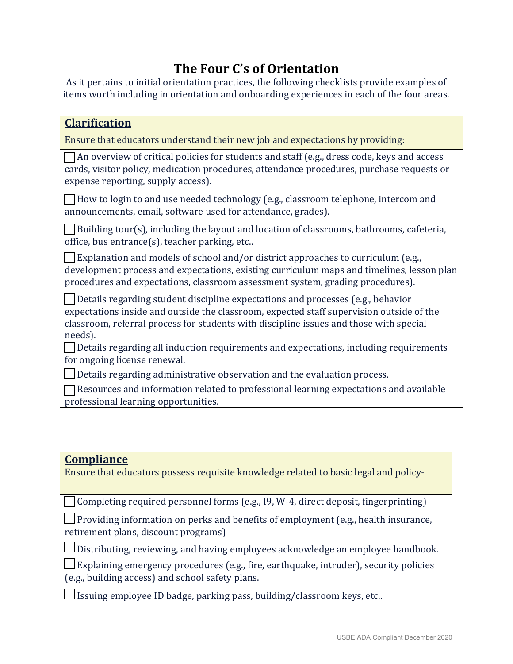## **The Four C's of Orientation**

As it pertains to initial orientation practices, the following checklists provide examples of items worth including in orientation and onboarding experiences in each of the four areas.

| <b>Clarification</b>                                                                                                                                                                                                                                                             |
|----------------------------------------------------------------------------------------------------------------------------------------------------------------------------------------------------------------------------------------------------------------------------------|
| Ensure that educators understand their new job and expectations by providing:                                                                                                                                                                                                    |
| $\Box$ An overview of critical policies for students and staff (e.g., dress code, keys and access<br>cards, visitor policy, medication procedures, attendance procedures, purchase requests or<br>expense reporting, supply access).                                             |
| □ How to login to and use needed technology (e.g., classroom telephone, intercom and<br>announcements, email, software used for attendance, grades).                                                                                                                             |
| $\Box$ Building tour(s), including the layout and location of classrooms, bathrooms, cafeteria,<br>office, bus entrance(s), teacher parking, etc                                                                                                                                 |
| Explanation and models of school and/or district approaches to curriculum (e.g.,<br>development process and expectations, existing curriculum maps and timelines, lesson plan<br>procedures and expectations, classroom assessment system, grading procedures).                  |
| Details regarding student discipline expectations and processes (e.g., behavior<br>expectations inside and outside the classroom, expected staff supervision outside of the<br>classroom, referral process for students with discipline issues and those with special<br>needs). |
| Details regarding all induction requirements and expectations, including requirements<br>for ongoing license renewal.                                                                                                                                                            |
| Details regarding administrative observation and the evaluation process.                                                                                                                                                                                                         |
| $\Box$ Resources and information related to professional learning expectations and available<br>professional learning opportunities.                                                                                                                                             |
| <b>Compliance</b><br>Ensure that educators possess requisite knowledge related to basic legal and policy-                                                                                                                                                                        |
| Completing required personnel forms (e.g., I9, W-4, direct deposit, fingerprinting)                                                                                                                                                                                              |
| <b>Providing information on perks and benefits of employment (e.g., health insurance,</b><br>retirement plans, discount programs)                                                                                                                                                |
| Distributing, reviewing, and having employees acknowledge an employee handbook.                                                                                                                                                                                                  |
| Explaining emergency procedures (e.g., fire, earthquake, intruder), security policies<br>(e.g., building access) and school safety plans.                                                                                                                                        |

 $\Box$  Issuing employee ID badge, parking pass, building/classroom keys, etc..